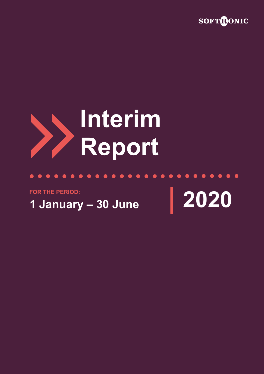

# **Interim Report**

 $0.000000000000000$ 

**FOR THE PERIOD:**

**1 January – 30 June 2020**

 $\bullet$ 

 $\bullet\hspace{0.2cm} \bullet\hspace{0.2cm} \bullet\hspace{0.2cm} \bullet\hspace{0.2cm} \bullet\hspace{0.2cm} \bullet\hspace{0.2cm} \bullet\hspace{0.2cm} \bullet$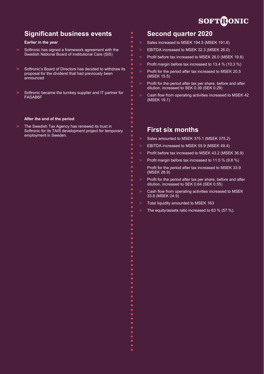# **SOFTRONIC**

# **Significant business events**

#### **Earlier in the year**

- Softronic has signed a framework agreement with the Swedish National Board of Institutional Care (SIS)
- Softronic's Board of Directors has decided to withdraw its proposal for the dividend that had previously been announced
- Softronic became the turnkey supplier and IT partner for FASAB6F

#### **After the end of the period**

The Swedish Tax Agency has renewed its trust in Softronic for its TAIS development project for temporary employment in Sweden.

# **Second quarter 2020**

- Sales increased to MSEK 194.5 (MSEK 191.6)
- EBITDA increased to MSEK 32.3 (MSEK 26.0)
- Profit before tax increased to MSEK 26.0 (MSEK 19.8)
- Profit margin before tax increased to 13.4 % (10.3 %)
- Profit for the period after tax increased to MSEK 20.5 (MSEK 15.5)
- Profit for the period after tax per share, before and after dilution, increased to SEK 0.39 (SEK 0.29)
- Cash flow from operating activities increased to MSEK 42 (MSEK 19.1)

# **First six months**

- Sales amounted to MSEK 375.1 (MSEK 375.2)
- EBITDA increased to MSEK 55.9 (MSEK 49.4)
- Profit before tax increased to MSEK 43.2 (MSEK 36.9)
- Profit margin before tax increased to 11.5 % (9.8 %)
- Profit for the period after tax increased to MSEK 33.9 (MSEK 28.9)
- Profit for the period after tax per share, before and after dilution, increased to SEK 0.64 (SEK 0.55)
- Cash flow from operating activities increased to MSEK 33.8 (MSEK 24.9)
- Total liquidity amounted to MSEK 163
- The equity/assets ratio increased to 63 % (57 %).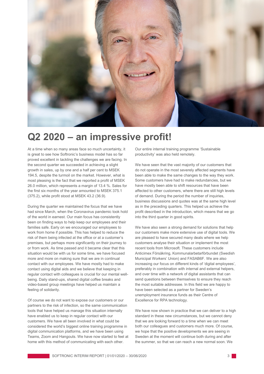

# **Q2 2020 – an impressive profit!**

At a time when so many areas face so much uncertainty, it is great to see how Softronic's business model has so far proved excellent in tackling the challenges we are facing. In the second quarter we succeeded in achieving a slight growth in sales, up by one and a half per cent to MSEK 194.5, despite the turmoil on the market. However, what is most pleasing is the fact that we reported a profit of MSEK 26.0 million, which represents a margin of 13.4 %. Sales for the first six months of the year amounted to MSEK 375.1 (375.2), while profit stood at MSEK 43.2 (36.9).

During the quarter we maintained the focus that we have had since March, when the Coronavirus pandemic took hold of the world in earnest. Our main focus has consistently been on finding ways to help keep our employees and their families safe. Early on we encouraged our employees to work from home if possible. This has helped to reduce the risk of them being infected at the office or at a customer's premises, but perhaps more significantly on their journey to or from work. As time passed and it became clear that this situation would be with us for some time, we have focused more and more on making sure that we are in continual contact with our employees. We have mostly had to make contact using digital aids and we believe that keeping in regular contact with colleagues is crucial for our mental wellbeing. Daily stand-ups, shared digital coffee breaks and video-based group meetings have helped us maintain a feeling of solidarity.

Of course we do not want to expose our customers or our partners to the risk of infection, so the same communication tools that have helped us manage this situation internally have enabled us to keep in regular contact with our customers. We have all been involved in what could be considered the world's biggest online training programme in digital communication platforms, and we have been using Teams, Zoom and Hangouts. We have now started to feel at home with this method of communicating with each other.

Our entire internal training programme 'Sustainable productivity' was also held remotely.

We have seen that the vast majority of our customers that do not operate in the most severely affected segments have been able to make the same changes to the way they work. Some customers have had to make redundancies, but we have mostly been able to shift resources that have been affected to other customers, where there are still high levels of demand. During the period the number of inquiries, business discussions and quotes was at the same high level as in the preceding quarters. This helped us achieve the profit described in the introduction, which means that we go into the third quarter in good spirits.

We have also seen a strong demand for solutions that help our customers make more extensive use of digital tools. We are pleased to have secured many deals where we help customers analyse their situation or implement the most recent tools from Microsoft. These customers include Anticimex Försäkring, Kommunalarbetarförbundet (Swedish Municipal Workers' Union) and FASAB6F. We are also increasing our focus on different kinds of 'digital employees', preferably in combination with internal and external helpers, and over time with a network of digital assistants that can send questions between themselves to ensure they reach the most suitable addressee. In this field we are happy to have been selected as a partner for Sweden's unemployment insurance funds as their Centre of Excellence for RPA technology.

We have now shown in practice that we can deliver to a high standard in these new circumstances, but we cannot deny that we are looking forward to a time when we can meet both our colleagues and customers much more. Of course, we hope that the positive developments we are seeing in Sweden at the moment will continue both during and after the summer, so that we can reach a new normal soon. We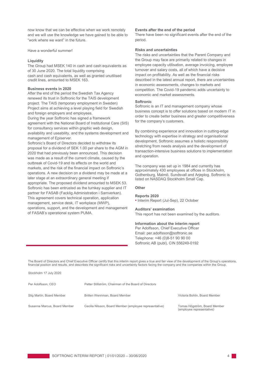now know that we can be effective when we work remotely and we will use the knowledge we have gained to be able to "work where we want" in the future.

Have a wonderful summer!

#### **Liquidity**

The Group had MSEK 140 in cash and cash equivalents as of 30 June 2020. The total liquidity comprising cash and cash equivalents, as well as granted unutilised credit lines, amounted to MSEK 163.

#### **Business events in 2020**

Stockholm 17 July 2020

After the end of the period the Swedish Tax Agency renewed its trust in Softronic for the TAIS development project. The TAIS (temporary employment in Sweden) Project aims at achieving a level playing field for Swedish and foreign employers and employees.

During the year Softronic has signed a framework agreement with the National Board of Institutional Care (SIS) for consultancy services within graphic web design, availability and useability, and the systems development and management of Episerver.

Softronic's Board of Directors decided to withdraw its proposal for a dividend of SEK 1.00 per share to the AGM in 2020 that had previously been announced. This decision was made as a result of the current climate, caused by the outbreak of Covid-19 and its effects on the world and markets, and the risk of the financial impact on Softronic's operations. A new decision on a dividend may be made at a later stage at an extraordinary general meeting if appropriate. The proposed dividend amounted to MSEK 53. Softronic has been entrusted as the turnkey supplier and IT partner for FASAB (Facklig Administration i Samverkan). This agreement covers technical operation, application management, service desk, IT workplace (MWP), operations, support, and the development and management of FASAB's operational system PUMA.

#### **Events after the end of the period**

There have been no significant events after the end of the period.

#### **Risks and uncertainties**

The risks and uncertainties that the Parent Company and the Group may face are primarily related to changes in employee capacity utilisation, average invoicing, employee turnover and salary costs, all of which have a decisive impact on profitability. As well as the financial risks described in the latest annual report, there are uncertainties in economic assessments, changes to markets and competition. The Covid-19 pandemic adds uncertainty to economic and market assessments.

#### **Softronic**

Softronic is an IT and management company whose business concept is to offer solutions based on modern IT in order to create better business and greater competitiveness for the company's customers.

By combining experience and innovation in cutting-edge technology with expertise in strategy and organisational development, Softronic assumes a holistic responsibility stretching from needs analysis and the development of transaction-intensive business solutions to implementation and operation.

The company was set up in 1984 and currently has approximately 430 employees at offices in Stockholm, Gothenburg, Malmö, Sundsvall and Arjeplog. Softronic is listed on NASDAQ Stockholm Small Cap.

#### **Other**

#### **Reports 2020**

• Interim Report (Jul-Sep), 22 October

#### **Auditors' examination**

This report has not been examined by the auditors.

#### **Information about the interim report**

Per Adolfsson, Chief Executive Officer Email: [per](mailto:per.adolfsson@softronic.se)[.adolfsson@softronic.se](mailto:.adolfsson@softronic.se) Telephone: +46 (0)8-51 90 90 00 Softronic AB (publ), CIN 556249-0192

The Board of Directors and Chief Executive Officer certify that this interim report gives a true and fair view of the development of the Group's operations, financial position and results, and describes the significant risks and uncertainty factors facing the company and the companies within the Group.

| Per Adolfsson, CEO           | Petter Stillström, Chairman of the Board of Directors   |                                                           |
|------------------------------|---------------------------------------------------------|-----------------------------------------------------------|
| Stig Martín, Board Member    | Britten Wennman, Board Member                           | Victoria Bohlin, Board Member                             |
| Susanna Marcus, Board Member | Cecilia Nilsson, Board Member (employee representative) | Tomas Högström, Board Member<br>(employee representative) |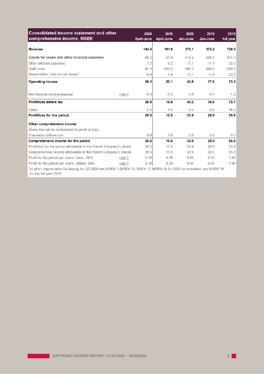| <b>Consolidated income statement and other</b><br>comprehensive income, MSEK                                                                      | 2020<br><b>April-June</b> | 2019<br>April-June | 2020<br>Jan-June | 2019<br>Jan-June | 2019<br>full year |
|---------------------------------------------------------------------------------------------------------------------------------------------------|---------------------------|--------------------|------------------|------------------|-------------------|
| <b>Revenue</b>                                                                                                                                    | 194.5                     | 191.6              | 375.1            | 375.2            | 720.0             |
| Goods for resale and other invoiced expenses                                                                                                      | $-60.5$                   | $-55.9$            | $-114.4$         | $-108.2$         | $-211.0$          |
| Other external expenses                                                                                                                           | $-7.2$                    | $-8.2$             | $-15.1$          | $-17.4$          | $-32.0$           |
| Staff costs                                                                                                                                       | $-94.5$                   | $-101.5$           | $-189.7$         | $-200.2$         | $-380.0$          |
| Depreciation, non-current assets <sup>1</sup>                                                                                                     | $-6.0$                    | $-5.9$             | $-12.1$          | $-11.8$          | $-23.7$           |
| <b>Operating income</b>                                                                                                                           | 26.3                      | 20.1               | 43.8             | 37.6             | 73.3              |
| Net financial income/expense<br>note 2                                                                                                            | $-0.3$                    | $-0.3$             | $-0.6$           | $-0.7$           | $-1.2$            |
| Profit/loss before tax                                                                                                                            | 26.0                      | 19.8               | 43.2             | 36.9             | 72.1              |
| <b>Taxes</b>                                                                                                                                      | $-5.5$                    | $-4.3$             | $-9.3$           | $-8.0$           | $-16.3$           |
| Profit/loss for the period                                                                                                                        | 20.5                      | 15.5               | 33.9             | 28.9             | 55.8              |
| Other comprehensive income                                                                                                                        |                           |                    |                  |                  |                   |
| Items that will be reclassified to profit or loss                                                                                                 |                           |                    |                  |                  |                   |
| <b>Translation differences</b>                                                                                                                    | 0.0                       | 0.0                | 0.0              | 0.0              | 0.0               |
| Comprehensive income for the period                                                                                                               | 20.5                      | 15.5               | 33.9             | 28.9             | 55.8              |
| Profit/loss for the period attributable to the Parent Company's shareh                                                                            | 20.5                      | 15.5               | 33.9             | 28.9             | 55.8              |
| Comprehensive income attributable to the Parent Company's shareh                                                                                  | 20.5                      | 15.5               | 33.9             | 28.9             | 55.8              |
| Profit for the period per share, basic, SEK<br>note 1                                                                                             | 0.39                      | 0.29               | 0.64             | 0.55             | 1.06              |
| Profit for the period per share, diluted, SEK<br>note 1                                                                                           | 0.39                      | 0.29               | 0.64             | 0.55             | 1.06              |
| of which depreciation for leasing for Q2 2020 was MSEK 5 (MSEK 5); MSEK 10 (MSEK 9) for 2020 accumulated; and MSEK 19"<br>for the full year 2019. |                           |                    |                  |                  |                   |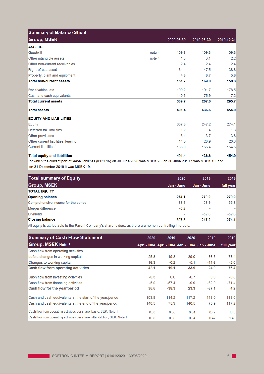| <b>Summary of Balance Sheet</b>     |        |            |            |            |
|-------------------------------------|--------|------------|------------|------------|
| <b>Group, MSEK</b>                  |        | 2020-06-30 | 2019-06-30 | 2019-12-31 |
| <b>ASSETS</b>                       |        |            |            |            |
| Goodwill                            | note 4 | 109.3      | 109.3      | 109.3      |
| Other intangible assets             | note 4 | 1.3        | 3.1        | 2.2        |
| Other non-current receivables       |        | 2.4        | 2.4        | 2.4        |
| Right-of-use asset                  |        | 34.4       | 47.5       | 38.8       |
| Property, plant and equipment       |        | 4.3        | 6.7        | 5.6        |
| <b>Total non-current assets</b>     |        | 151.7      | 169.0      | 158.3      |
| Receivables, etc.                   |        | 199.2      | 191.7      | 178.5      |
| Cash and cash equivalents           |        | 140.5      | 75.9       | 117.2      |
| <b>Total current assets</b>         |        | 339.7      | 267.6      | 295.7      |
| <b>Total assets</b>                 |        | 491.4      | 436.6      | 454.0      |
| <b>EQUITY AND LIABILITIES</b>       |        |            |            |            |
| Equity                              |        | 307.8      | 247.2      | 274.1      |
| Deferred tax liabilities            |        | 1.2        | 1.4        | 1.3        |
| Other provisions                    |        | 3.4        | 3.7        | 3.8        |
| Other current liabilities, leasing  |        | 14.0       | 28.9       | 20.3       |
| Current liabilities <sup>1</sup>    |        | 165.0      | 155.4      | 154.5      |
| <b>Total equity and liabilities</b> |        | 491.4      | 436.6      | 454.0      |

on 31 December 2019 it was MSEK 19.

| Total summary of Equity             | 2020       | 2019       | 2019      |
|-------------------------------------|------------|------------|-----------|
| <b>Group, MSEK</b>                  | Jan - June | Jan - June | full year |
| <b>TOTAL EQUITY</b>                 |            |            |           |
| <b>Opening balance</b>              | 274.1      | 270.9      | 270.9     |
| Comprehensive income for the period | 33.9       | 28.9       | 55.8      |
| Merger difference                   | $-0.2$     | ۰          |           |
| <b>Dividend</b>                     |            | $-52.6$    | $-52.6$   |
| <b>Closing balance</b>              | 307.8      | 247.2      | 274.1     |
|                                     |            |            |           |

All equity is attributable to the Parent Company's shareholders, as there are no non-controlling interests.

| <b>Summary of Cash Flow Statement</b>                                      | 2020   | 2019    | 2020                                        | 2019    | 2019      |
|----------------------------------------------------------------------------|--------|---------|---------------------------------------------|---------|-----------|
| <b>Group, MSEK Note 3</b>                                                  |        |         | April-June April-June Jan - June Jan - June |         | full year |
| Cash flow from operating activities                                        |        |         |                                             |         |           |
| before changes in working capital                                          | 25.8   | 19.3    | 39.0                                        | 36.5    | 78.4      |
| Changes to working capital,                                                | 16.3   | $-0.2$  | $-5.1$                                      | $-11.6$ | $-2.0$    |
| <b>Cash flow from operating activities</b>                                 | 42.1   | 19.1    | 33.9                                        | 24.9    | 76.4      |
| Cash flow from investing activities                                        | $-0.5$ | 0.0     | $-0.7$                                      | 0.0     | $-0.8$    |
| Cash flow from financing activities                                        | $-5.0$ | $-57.4$ | $-9.9$                                      | $-62.0$ | $-71.4$   |
| Cash flow for the year/period                                              | 36.6   | $-38.3$ | 23.3                                        | $-37.1$ | 4.2       |
| Cash and cash equivalents at the start of the year/period                  | 103.9  | 114.2   | 117.2                                       | 113.0   | 113.0     |
| Cash and cash equivalents at the end of the year/period                    | 140.5  | 75.9    | 140.5                                       | 75.9    | 117.2     |
| Cash flow from operating activities per share, basic, SEK. Note 1          | 0.80   | 0.36    | 0.64                                        | 0.47    | 1.45      |
| Cash flow from operating activities per share, after dilution, SEK. Note 1 | 0.80   | 0.36    | 0.64                                        | 0.47    | 1.45      |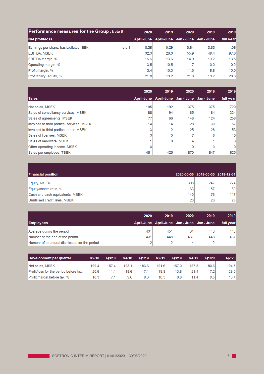| <b>Performance measures for the Group, Note 5</b> |        | 2020 | 2019                                    | 2020 | 2019 | 2019      |
|---------------------------------------------------|--------|------|-----------------------------------------|------|------|-----------|
| Net profit/loss                                   |        |      | April-June April-June Jan-June Jan-June |      |      | full year |
| Earnings per share, basic/diluted, SEK            | note 1 | 0.39 | 0.29                                    | 0.64 | 0.55 | 1.06      |
| <b>EBITDA, MSEK</b>                               |        | 32.3 | 26.0                                    | 55.9 | 49.4 | 97.0      |
| <b>EBITDA margin, %</b>                           |        | 16.6 | 13.6                                    | 14.9 | 13.2 | 13.5      |
| Operating margin, %                               |        | 13.5 | 10.5                                    | 11.7 | 10.0 | 10.2      |
| Profit margin, %                                  |        | 13.4 | 10.3                                    | 11.5 | 9.8  | 10.0      |
| Profitability, equity, %                          |        | 21.8 | 19.2                                    | 21.8 | 19.2 | 20.6      |

|                                           | 2020 | 2019                                        | 2020 | 2019 | 2019      |
|-------------------------------------------|------|---------------------------------------------|------|------|-----------|
| <b>Sales</b>                              |      | April-June April-June Jan - June Jan - June |      |      | full year |
| Net sales, MSEK                           | 195  | 192                                         | 375  | 375  | 720       |
| Sales of consultancy services, MSEK       | 86   | 94                                          | 165  | 184  | 334       |
| Sales of agreements, MSEK                 | 77   | 66                                          | 146  | 124  | 258       |
| Invoiced to third parties, services, MSEK | 14   | 14                                          | 28   | 30   | 57        |
| Invoiced to third parties, other, MSEK    | 13   | 12                                          | 25   | 28   | 53        |
| Sales of licenses, MSEK                   | 3    | 5                                           |      | 8    | 15        |
| Sales of hardware, MSEK                   |      | 0                                           | 4    |      | 3         |
| Other operating income, MSEK              | 0    |                                             | 0    | 0    | 0         |
| Sales per employee, TSEK                  | 451  | 425                                         | 870  | 847  | 1625      |

| <b>Financial position</b>       |     | 2020-06-30 2019-06-30 2019-12-31 |     |
|---------------------------------|-----|----------------------------------|-----|
| Equity, MSEK                    | 308 | 247                              | 274 |
| Equity/assets ratio, %          | 63  | 57                               | 60  |
| Cash and cash equivalents, MSEK | 140 | 76                               | 117 |
| Unutilised credit lines, MSEK   | 23  | 23                               | 23  |

|                                                | 2020 | 2019                                    | 2020 | 2019 | 2019      |
|------------------------------------------------|------|-----------------------------------------|------|------|-----------|
| <b>Employees</b>                               |      | April-June April-June Jan-June Jan-June |      |      | full year |
| Average during the period                      | 431  | 451                                     | 431  | 443  | 443       |
| Number at the end of the period                | 431  | 448                                     | 431  | 448  | 437       |
| Number of structural dismissals for the period | 2    |                                         | 4    |      | $\vert$   |

| Development per quarter                | Q2/18             | Q3/18 | Q4/18 | Q1/19 | Q2/19 | Q3/19 | Q4/19 | Q1/20 | Q2/20 |
|----------------------------------------|-------------------|-------|-------|-------|-------|-------|-------|-------|-------|
| Net sales, MSEK                        | 199.4             | 157.4 | 193.1 | 183.6 | 191.6 | 157.0 | 187.8 | 180.6 | 194.5 |
| Profit/loss for the period before tax, | 20.6              |       | 18.6  | 17.1  | 19.8  | 13.8  | 21.4  | 17.2  | 26.0  |
| Profit margin before tax, %            | 10.3 <sub>1</sub> |       | 9.6   | 9.3   | 10.3  | 8.8   | 11.4  | 9.5   | 13.4  |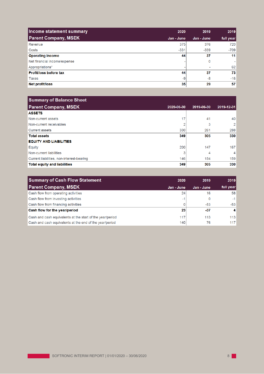| Income statement summary      | 2020            | 2019       | 2019      |
|-------------------------------|-----------------|------------|-----------|
| <b>Parent Company, MSEK</b>   | Jan - June      | Jan - June | full year |
| Revenue                       | 375             | 376        | 720       |
| Costs                         | $-331$          | $-339$     | -709      |
| <b>Operating income</b>       | 44              | 37         | 11        |
| Net financial income/expense  |                 | 0          | ٠         |
| Appropriations*               |                 | ۰          | 62        |
| <b>Profit/loss before tax</b> | 44              | 37         | 73        |
| <b>Taxes</b>                  | -9              | -8         | $-16$     |
| Net profit/loss               | 35 <sub>1</sub> | 29         | 57        |

| <b>Summary of Balance Sheet</b>           |            |            |                |
|-------------------------------------------|------------|------------|----------------|
| <b>Parent Company, MSEK</b>               | 2020-06-30 | 2019-06-30 | 2019-12-31     |
| <b>ASSETS</b>                             |            |            |                |
| Non-current assets                        | 17         | 41         | 40             |
| Non-current receivables                   | 2          | 3          | $\overline{2}$ |
| <b>Current assets</b>                     | 330        | 261        | 288            |
| <b>Total assets</b>                       | 349        | 305        | 330            |
| <b>EQUITY AND LIABILITIES</b>             |            |            |                |
| Equity                                    | 200        | 147        | 167            |
| Non-current liabilities                   | 3          | 4          | 4              |
| Current liabilities, non-interest-bearing | 146        | 154        | 159            |
| <b>Total equity and liabilities</b>       | 349        | 305        | 330            |

| <b>Summary of Cash Flow Statement</b>                     | 2020       | 2019       | 2019      |
|-----------------------------------------------------------|------------|------------|-----------|
| <b>Parent Company, MSEK</b>                               | Jan - June | Jan - June | full year |
| Cash flow from operating activities                       | 24         | 16         | 58        |
| Cash flow from investing activities                       | -1         |            | $-1$      |
| Cash flow from financing activities                       |            | $-53$      | $-53$     |
| Cash flow for the year/period                             | 23         | $-37$      | $\vert$ 4 |
| Cash and cash equivalents at the start of the year/period | 117        | 113        | 113       |
| Cash and cash equivalents at the end of the year/period   | 140        | 76         | 117       |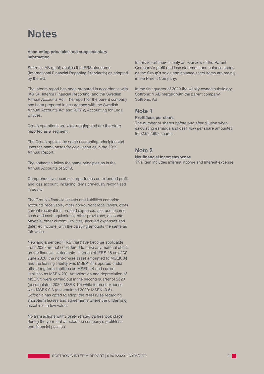# **Notes**

**Accounting principles and supplementary information**

Softronic AB (publ) applies the IFRS standards (International Financial Reporting Standards) as adopted by the EU.

The interim report has been prepared in accordance with IAS 34, Interim Financial Reporting, and the Swedish Annual Accounts Act. The report for the parent company has been prepared in accordance with the Swedish Annual Accounts Act and RFR 2, Accounting for Legal Entities.

Group operations are wide-ranging and are therefore reported as a segment.

The Group applies the same accounting principles and uses the same bases for calculation as in the 2019 Annual Report.

The estimates follow the same principles as in the Annual Accounts of 2019.

Comprehensive income is reported as an extended profit and loss account, including items previously recognised in equity.

The Group's financial assets and liabilities comprise accounts receivable, other non-current receivables, other current receivables, prepaid expenses, accrued income, cash and cash equivalents, other provisions, accounts payable, other current liabilities, accrued expenses and deferred income, with the carrying amounts the same as fair value.

New and amended IFRS that have become applicable from 2020 are not considered to have any material effect on the financial statements. In terms of IFRS 16 as of 30 June 2020, the right-of-use asset amounted to MSEK 34 and the leasing liability was MSEK 34 (reported under other long-term liabilities as MSEK 14 and current liabilities as MSEK 20). Amortisation and depreciation of MSEK 5 were carried out in the second quarter of 2020 (accumulated 2020: MSEK 10) while interest expense was MSEK 0.3 (accumulated 2020: MSEK -0.6). Softronic has opted to adopt the relief rules regarding short-term leases and agreements where the underlying asset is of a low value.

No transactions with closely related parties took place during the year that affected the company's profit/loss and financial position.

In this report there is only an overview of the Parent Company's profit and loss statement and balance sheet, as the Group's sales and balance sheet items are mostly in the Parent Company.

In the first quarter of 2020 the wholly-owned subsidiary Softronic 1 AB merged with the parent company Softronic AB.

## **Note 1**

### **Profit/loss per share**

The number of shares before and after dilution when calculating earnings and cash flow per share amounted to 52,632,803 shares.

## **Note 2**

#### **Net financial income/expense**

This item includes interest income and interest expense.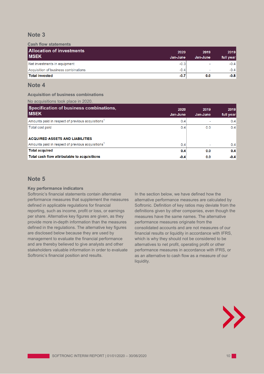# **Note 3**

#### **Cash flow statements**

| <b>Allocation of investments</b><br><b>IMSEK</b> | 2020<br>Jan-June | 2019<br>Jan-June | 2019<br>full year |
|--------------------------------------------------|------------------|------------------|-------------------|
| Net investments in equipment                     | $-0.3$           | $\sim$           | $-0.4$            |
| Acquisition of business combinations             | $-0.4$           | $\sim$           | $-0.4$            |
| <b>Total invested</b>                            | $-0.7$           | 0.0              | $-0.8$            |

## **Note 4**

#### **Acquisition of business combinations**

#### No acquisitions took place in 2020.

| Specification of business combinations,<br><b>MSEK</b>        | 2020<br>Jan-June | 2019<br>Jan-June | 2019<br>full year |
|---------------------------------------------------------------|------------------|------------------|-------------------|
| Amounts paid in respect of previous acquisitions <sup>1</sup> | 0.4              |                  | 0.4               |
| Total cost paid                                               | 0.4              | 0.0              | 0.4               |
| <b>ACQUIRED ASSETS AND LIABILITIES</b>                        |                  |                  |                   |
| Amounts paid in respect of previous acquisitions <sup>1</sup> | 0.4              | ٠                | 0.4               |
| <b>Total acquired</b>                                         | 0.4              | 0.0              | 0.4               |
| Total cash flow attributable to acquisitions                  | $-0.4$           | 0.0              | $-0.4$            |

# **Note 5**

#### **Key performance indicators**

Softronic's financial statements contain alternative performance measures that supplement the measures defined in applicable regulations for financial reporting, such as income, profit or loss, or earnings per share. Alternative key figures are given, as they provide more in-depth information than the measures defined in the regulations. The alternative key figures are disclosed below because they are used by management to evaluate the financial performance and are thereby believed to give analysts and other stakeholders valuable information in order to evaluate Softronic's financial position and results.

In the section below, we have defined how the alternative performance measures are calculated by Softronic. Definition of key ratios may deviate from the definitions given by other companies, even though the measures have the same names. The alternative performance measures originate from the consolidated accounts and are not measures of our financial results or liquidity in accordance with IFRS, which is why they should not be considered to be alternatives to net profit, operating profit or other performance measures in accordance with IFRS, or as an alternative to cash flow as a measure of our liquidity.

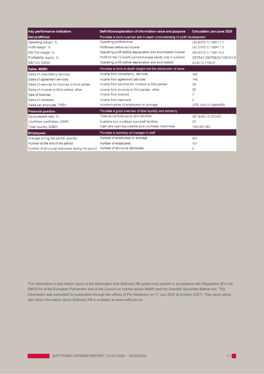| <b>Key performance indicators</b>                 | Definition/explanation of information value and purpose                  | <b>Calculation Jan-June 2020</b> |  |
|---------------------------------------------------|--------------------------------------------------------------------------|----------------------------------|--|
| Net profit/loss                                   | Provides a more nuanced and in-depth understanding of profit development |                                  |  |
| Operating margin, %                               | Operating profit/income                                                  | $(43.8/375.1)^*100=11.7$         |  |
| Profit margin, %                                  | Profit/loss before tax/income                                            | (43.2/375.1)*100=11.5            |  |
| EBITDA margin, %                                  | Operating profit before depreciation and amortisation/income             | $(55.9/375.1)^*100=14.9$         |  |
| Profitability, equity, %                          | Profit for the 12-month period/average equity over 5 quarters            | (60794/(1394768/5))*100=21.8     |  |
| EBITDA, MSEK                                      | Operating profit before depreciation and amortisation                    | $43.8 + 12.1 = 55.9$             |  |
| <b>Sales, MSEK</b>                                | Provides a more in-depth insight into the distribution of sales          |                                  |  |
| Sales of consultancy services                     | Income from consultancy services                                         | 165                              |  |
| Sales of agreement services                       | Income from agreement services                                           | 146                              |  |
| Sales of services for invoices to third parties   | Income from services for invoices to third parties                       | 28                               |  |
| Sales of invoices to third parties, other         | Income from invoices to third parties, other                             | 25                               |  |
| Sale of licences                                  | Income from licences                                                     | 7                                |  |
| Sales of hardware                                 | Income from hardware                                                     |                                  |  |
| Sales per employee, TSEK                          | Income/number of employees on average                                    | (375.1/431)*1,000=870            |  |
| <b>Financial position</b>                         | Provides a good overview of total liquidity and solvency                 |                                  |  |
| Equity/assets ratio, %                            | Total equity/total equity and liabilities                                | 307.8/491.4*100=63               |  |
| Unutilised credit lines, MSEK                     | Available but unutilised overdraft facilities                            | 23                               |  |
| <b>Total liquidity, MSEK</b>                      | Cash and cash equivalents plus unutilised credit lines                   | $140 + 23 = 163$                 |  |
| <b>Employees</b>                                  | Provides a summary of changes in staff                                   |                                  |  |
| Average during the period, quantity               | Number of employees on average                                           | 431                              |  |
| Number at the end of the period                   | Number of employees                                                      | 431                              |  |
| Number of structural dismissals during the period | Number of structural dismissals                                          | 4                                |  |

The information in this interim report is the information that Softronic AB (publ) must publish in accordance with Regulation (EU) No 596/2014 of the European Parliament and of the Council on market abuse (MAR) and the Swedish Securities Market Act. This information was submitted for publication through the offices of Per Adolfsson on 17 July 2020 at 8.00am (CET). This report along with other information about Softronic AB is available at [www.softronic.se.](http://www.softronic.se/)